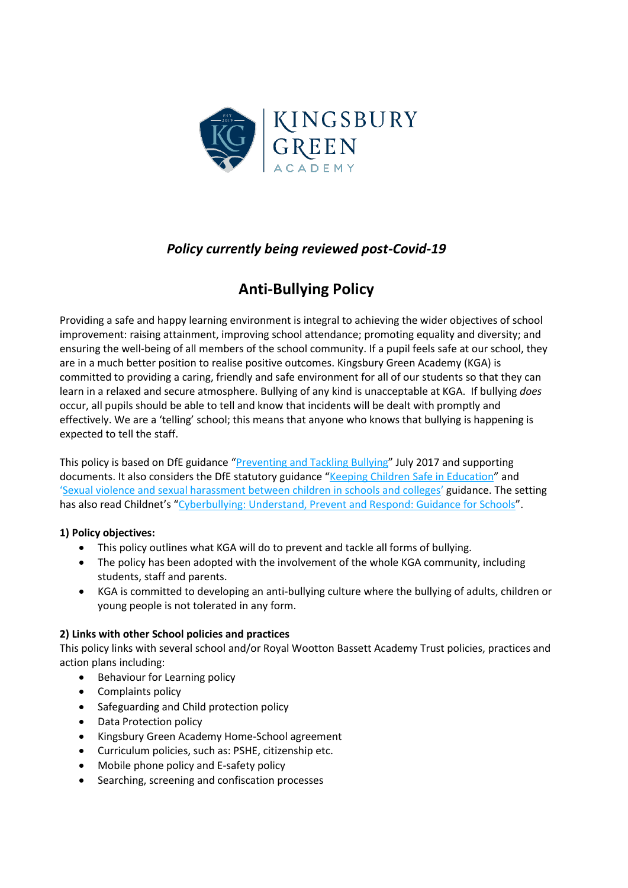

## *Policy currently being reviewed post-Covid-19*

# **Anti-Bullying Policy**

Providing a safe and happy learning environment is integral to achieving the wider objectives of school improvement: raising attainment, improving school attendance; promoting equality and diversity; and ensuring the well-being of all members of the school community. If a pupil feels safe at our school, they are in a much better position to realise positive outcomes. Kingsbury Green Academy (KGA) is committed to providing a caring, friendly and safe environment for all of our students so that they can learn in a relaxed and secure atmosphere. Bullying of any kind is unacceptable at KGA. If bullying *does* occur, all pupils should be able to tell and know that incidents will be dealt with promptly and effectively. We are a 'telling' school; this means that anyone who knows that bullying is happening is expected to tell the staff.

This policy is based on DfE guidance "[Preventing and Tackling Bullying](file:///C:/Users/AssitA01/AppData/Local/Microsoft/Windows/Temporary%20Internet%20Files/Content.Outlook/ZQ0RB9FM/•%09https:/www.gov.uk/government/publications/preventing-and-tackling-bullying)" July 2017 and supporting documents. It also considers the DfE statutory guidance "[Keeping Children Safe in Education](https://www.gov.uk/government/publications/keeping-children-safe-in-education--2)" and '[Sexual violence and sexual harassment between children in schools and colleges](https://www.gov.uk/government/publications/sexual-violence-and-sexual-harassment-between-children-in-schools-and-colleges)' guidance. The setting has also read Childnet's "[Cyberbullying: Understand, Prevent and Respond: Guidance for Schools](file:///C:/Users/AssitA01/AppData/Local/Microsoft/Windows/Temporary%20Internet%20Files/Content.Outlook/ZQ0RB9FM/www.childnet.com/resources/cyberbullying-guidance-for-schools)".

#### **1) Policy objectives:**

- This policy outlines what KGA will do to prevent and tackle all forms of bullying.
- The policy has been adopted with the involvement of the whole KGA community, including students, staff and parents.
- KGA is committed to developing an anti-bullying culture where the bullying of adults, children or young people is not tolerated in any form.

#### **2) Links with other School policies and practices**

This policy links with several school and/or Royal Wootton Bassett Academy Trust policies, practices and action plans including:

- Behaviour for Learning policy
- Complaints policy
- Safeguarding and Child protection policy
- Data Protection policy
- Kingsbury Green Academy Home-School agreement
- Curriculum policies, such as: PSHE, citizenship etc.
- Mobile phone policy and E-safety policy
- Searching, screening and confiscation processes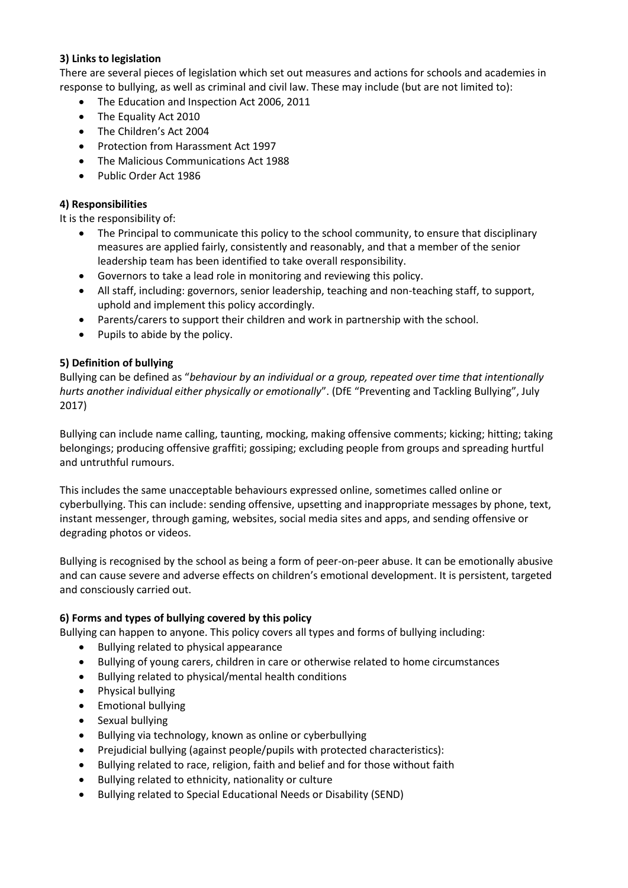#### **3) Links to legislation**

There are several pieces of legislation which set out measures and actions for schools and academies in response to bullying, as well as criminal and civil law. These may include (but are not limited to):

- The Education and Inspection Act 2006, 2011
- The Equality Act 2010
- The Children's Act 2004
- Protection from Harassment Act 1997
- The Malicious Communications Act 1988
- Public Order Act 1986

#### **4) Responsibilities**

It is the responsibility of:

- The Principal to communicate this policy to the school community, to ensure that disciplinary measures are applied fairly, consistently and reasonably, and that a member of the senior leadership team has been identified to take overall responsibility.
- Governors to take a lead role in monitoring and reviewing this policy.
- All staff, including: governors, senior leadership, teaching and non-teaching staff, to support, uphold and implement this policy accordingly.
- Parents/carers to support their children and work in partnership with the school.
- Pupils to abide by the policy.

#### **5) Definition of bullying**

Bullying can be defined as "*behaviour by an individual or a group, repeated over time that intentionally hurts another individual either physically or emotionally*". (DfE "Preventing and Tackling Bullying", July 2017)

Bullying can include name calling, taunting, mocking, making offensive comments; kicking; hitting; taking belongings; producing offensive graffiti; gossiping; excluding people from groups and spreading hurtful and untruthful rumours.

This includes the same unacceptable behaviours expressed online, sometimes called online or cyberbullying. This can include: sending offensive, upsetting and inappropriate messages by phone, text, instant messenger, through gaming, websites, social media sites and apps, and sending offensive or degrading photos or videos.

Bullying is recognised by the school as being a form of peer-on-peer abuse. It can be emotionally abusive and can cause severe and adverse effects on children's emotional development. It is persistent, targeted and consciously carried out.

#### **6) Forms and types of bullying covered by this policy**

Bullying can happen to anyone. This policy covers all types and forms of bullying including:

- Bullying related to physical appearance
- Bullying of young carers, children in care or otherwise related to home circumstances
- Bullying related to physical/mental health conditions
- Physical bullying
- Emotional bullying
- Sexual bullying
- Bullying via technology, known as online or cyberbullying
- Prejudicial bullying (against people/pupils with protected characteristics):
- Bullying related to race, religion, faith and belief and for those without faith
- Bullying related to ethnicity, nationality or culture
- Bullying related to Special Educational Needs or Disability (SEND)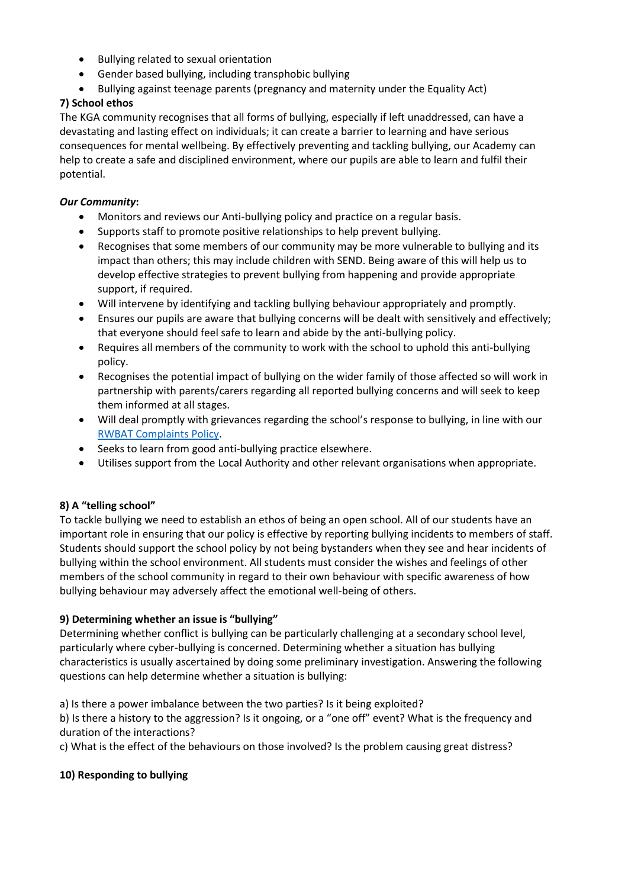- Bullying related to sexual orientation
- Gender based bullying, including transphobic bullying
- Bullying against teenage parents (pregnancy and maternity under the Equality Act)

### **7) School ethos**

The KGA community recognises that all forms of bullying, especially if left unaddressed, can have a devastating and lasting effect on individuals; it can create a barrier to learning and have serious consequences for mental wellbeing. By effectively preventing and tackling bullying, our Academy can help to create a safe and disciplined environment, where our pupils are able to learn and fulfil their potential.

#### *Our Community***:**

- Monitors and reviews our Anti-bullying policy and practice on a regular basis.
- Supports staff to promote positive relationships to help prevent bullying.
- Recognises that some members of our community may be more vulnerable to bullying and its impact than others; this may include children with SEND. Being aware of this will help us to develop effective strategies to prevent bullying from happening and provide appropriate support, if required.
- Will intervene by identifying and tackling bullying behaviour appropriately and promptly.
- Ensures our pupils are aware that bullying concerns will be dealt with sensitively and effectively; that everyone should feel safe to learn and abide by the anti-bullying policy.
- Requires all members of the community to work with the school to uphold this anti-bullying policy.
- Recognises the potential impact of bullying on the wider family of those affected so will work in partnership with parents/carers regarding all reported bullying concerns and will seek to keep them informed at all stages.
- Will deal promptly with grievances regarding the school's response to bullying, in line with our [RWBAT Complaints Policy.](https://www.lawnmanor.org/wp-content/uploads/2019/01/RWBAT-Complaints-FINAL.pdf)
- Seeks to learn from good anti-bullying practice elsewhere.
- Utilises support from the Local Authority and other relevant organisations when appropriate.

### **8) A "telling school"**

To tackle bullying we need to establish an ethos of being an open school. All of our students have an important role in ensuring that our policy is effective by reporting bullying incidents to members of staff. Students should support the school policy by not being bystanders when they see and hear incidents of bullying within the school environment. All students must consider the wishes and feelings of other members of the school community in regard to their own behaviour with specific awareness of how bullying behaviour may adversely affect the emotional well-being of others.

#### **9) Determining whether an issue is "bullying"**

Determining whether conflict is bullying can be particularly challenging at a secondary school level, particularly where cyber-bullying is concerned. Determining whether a situation has bullying characteristics is usually ascertained by doing some preliminary investigation. Answering the following questions can help determine whether a situation is bullying:

a) Is there a power imbalance between the two parties? Is it being exploited?

b) Is there a history to the aggression? Is it ongoing, or a "one off" event? What is the frequency and duration of the interactions?

c) What is the effect of the behaviours on those involved? Is the problem causing great distress?

#### **10) Responding to bullying**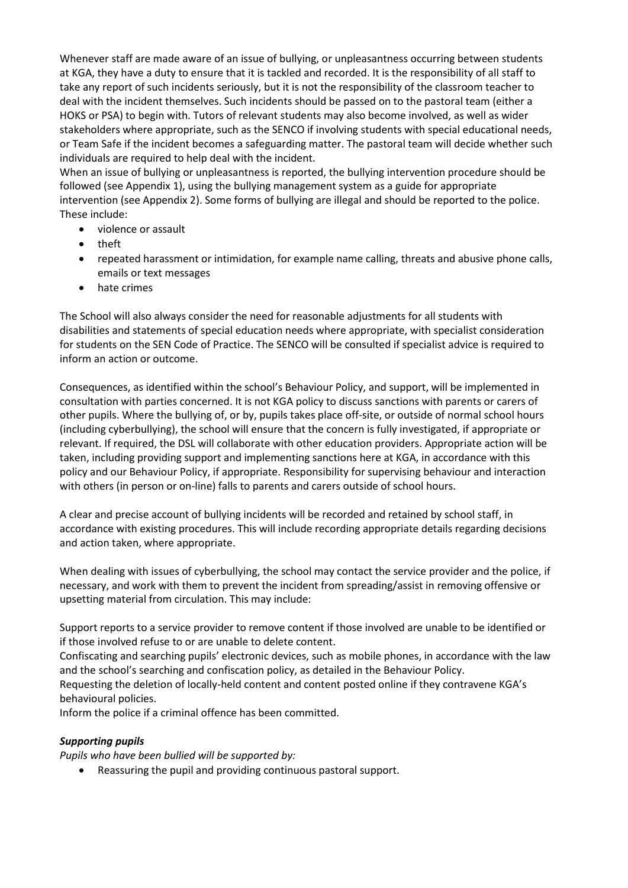Whenever staff are made aware of an issue of bullying, or unpleasantness occurring between students at KGA, they have a duty to ensure that it is tackled and recorded. It is the responsibility of all staff to take any report of such incidents seriously, but it is not the responsibility of the classroom teacher to deal with the incident themselves. Such incidents should be passed on to the pastoral team (either a HOKS or PSA) to begin with. Tutors of relevant students may also become involved, as well as wider stakeholders where appropriate, such as the SENCO if involving students with special educational needs, or Team Safe if the incident becomes a safeguarding matter. The pastoral team will decide whether such individuals are required to help deal with the incident.

When an issue of bullying or unpleasantness is reported, the bullying intervention procedure should be followed (see Appendix 1), using the bullying management system as a guide for appropriate intervention (see Appendix 2). Some forms of bullying are illegal and should be reported to the police. These include:

- violence or assault
- theft
- repeated harassment or intimidation, for example name calling, threats and abusive phone calls, emails or text messages
- hate crimes

The School will also always consider the need for reasonable adjustments for all students with disabilities and statements of special education needs where appropriate, with specialist consideration for students on the SEN Code of Practice. The SENCO will be consulted if specialist advice is required to inform an action or outcome.

Consequences, as identified within the school's Behaviour Policy, and support, will be implemented in consultation with parties concerned. It is not KGA policy to discuss sanctions with parents or carers of other pupils. Where the bullying of, or by, pupils takes place off-site, or outside of normal school hours (including cyberbullying), the school will ensure that the concern is fully investigated, if appropriate or relevant. If required, the DSL will collaborate with other education providers. Appropriate action will be taken, including providing support and implementing sanctions here at KGA, in accordance with this policy and our Behaviour Policy, if appropriate. Responsibility for supervising behaviour and interaction with others (in person or on-line) falls to parents and carers outside of school hours.

A clear and precise account of bullying incidents will be recorded and retained by school staff, in accordance with existing procedures. This will include recording appropriate details regarding decisions and action taken, where appropriate.

When dealing with issues of cyberbullying, the school may contact the service provider and the police, if necessary, and work with them to prevent the incident from spreading/assist in removing offensive or upsetting material from circulation. This may include:

Support reports to a service provider to remove content if those involved are unable to be identified or if those involved refuse to or are unable to delete content.

Confiscating and searching pupils' electronic devices, such as mobile phones, in accordance with the law and the school's searching and confiscation policy, as detailed in the Behaviour Policy.

Requesting the deletion of locally-held content and content posted online if they contravene KGA's behavioural policies.

Inform the police if a criminal offence has been committed.

### *Supporting pupils*

*Pupils who have been bullied will be supported by:* 

• Reassuring the pupil and providing continuous pastoral support.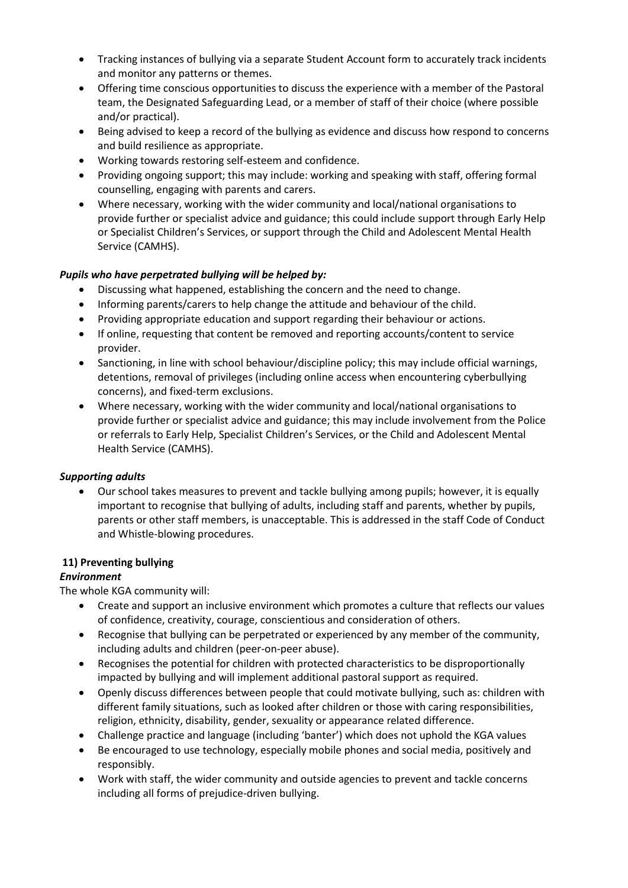- Tracking instances of bullying via a separate Student Account form to accurately track incidents and monitor any patterns or themes.
- Offering time conscious opportunities to discuss the experience with a member of the Pastoral team, the Designated Safeguarding Lead, or a member of staff of their choice (where possible and/or practical).
- Being advised to keep a record of the bullying as evidence and discuss how respond to concerns and build resilience as appropriate.
- Working towards restoring self-esteem and confidence.
- Providing ongoing support; this may include: working and speaking with staff, offering formal counselling, engaging with parents and carers.
- Where necessary, working with the wider community and local/national organisations to provide further or specialist advice and guidance; this could include support through Early Help or Specialist Children's Services, or support through the Child and Adolescent Mental Health Service (CAMHS).

#### *Pupils who have perpetrated bullying will be helped by:*

- Discussing what happened, establishing the concern and the need to change.
- Informing parents/carers to help change the attitude and behaviour of the child.
- Providing appropriate education and support regarding their behaviour or actions.
- If online, requesting that content be removed and reporting accounts/content to service provider.
- Sanctioning, in line with school behaviour/discipline policy; this may include official warnings, detentions, removal of privileges (including online access when encountering cyberbullying concerns), and fixed-term exclusions.
- Where necessary, working with the wider community and local/national organisations to provide further or specialist advice and guidance; this may include involvement from the Police or referrals to Early Help, Specialist Children's Services, or the Child and Adolescent Mental Health Service (CAMHS).

#### *Supporting adults*

• Our school takes measures to prevent and tackle bullying among pupils; however, it is equally important to recognise that bullying of adults, including staff and parents, whether by pupils, parents or other staff members, is unacceptable. This is addressed in the staff Code of Conduct and Whistle-blowing procedures.

#### **11) Preventing bullying**

#### *Environment*

The whole KGA community will:

- Create and support an inclusive environment which promotes a culture that reflects our values of confidence, creativity, courage, conscientious and consideration of others.
- Recognise that bullying can be perpetrated or experienced by any member of the community, including adults and children (peer-on-peer abuse).
- Recognises the potential for children with protected characteristics to be disproportionally impacted by bullying and will implement additional pastoral support as required.
- Openly discuss differences between people that could motivate bullying, such as: children with different family situations, such as looked after children or those with caring responsibilities, religion, ethnicity, disability, gender, sexuality or appearance related difference.
- Challenge practice and language (including 'banter') which does not uphold the KGA values
- Be encouraged to use technology, especially mobile phones and social media, positively and responsibly.
- Work with staff, the wider community and outside agencies to prevent and tackle concerns including all forms of prejudice-driven bullying.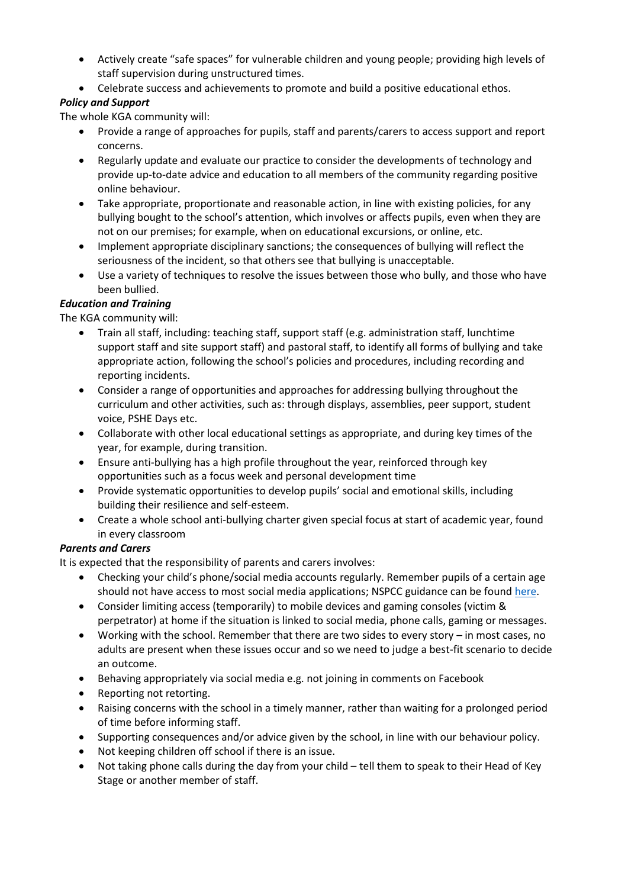- Actively create "safe spaces" for vulnerable children and young people; providing high levels of staff supervision during unstructured times.
- Celebrate success and achievements to promote and build a positive educational ethos.

#### *Policy and Support*

The whole KGA community will:

- Provide a range of approaches for pupils, staff and parents/carers to access support and report concerns.
- Regularly update and evaluate our practice to consider the developments of technology and provide up-to-date advice and education to all members of the community regarding positive online behaviour.
- Take appropriate, proportionate and reasonable action, in line with existing policies, for any bullying bought to the school's attention, which involves or affects pupils, even when they are not on our premises; for example, when on educational excursions, or online, etc.
- Implement appropriate disciplinary sanctions; the consequences of bullying will reflect the seriousness of the incident, so that others see that bullying is unacceptable.
- Use a variety of techniques to resolve the issues between those who bully, and those who have been bullied.

#### *Education and Training*

The KGA community will:

- Train all staff, including: teaching staff, support staff (e.g. administration staff, lunchtime support staff and site support staff) and pastoral staff, to identify all forms of bullying and take appropriate action, following the school's policies and procedures, including recording and reporting incidents.
- Consider a range of opportunities and approaches for addressing bullying throughout the curriculum and other activities, such as: through displays, assemblies, peer support, student voice, PSHE Days etc.
- Collaborate with other local educational settings as appropriate, and during key times of the year, for example, during transition.
- Ensure anti-bullying has a high profile throughout the year, reinforced through key opportunities such as a focus week and personal development time
- Provide systematic opportunities to develop pupils' social and emotional skills, including building their resilience and self-esteem.
- Create a whole school anti-bullying charter given special focus at start of academic year, found in every classroom

#### *Parents and Carers*

It is expected that the responsibility of parents and carers involves:

- Checking your child's phone/social media accounts regularly. Remember pupils of a certain age should not have access to most social media applications; NSPCC guidance can be found [here.](https://www.net-aware.org.uk/networks/?order=title)
- Consider limiting access (temporarily) to mobile devices and gaming consoles (victim & perpetrator) at home if the situation is linked to social media, phone calls, gaming or messages.
- Working with the school. Remember that there are two sides to every story in most cases, no adults are present when these issues occur and so we need to judge a best-fit scenario to decide an outcome.
- Behaving appropriately via social media e.g. not joining in comments on Facebook
- Reporting not retorting.
- Raising concerns with the school in a timely manner, rather than waiting for a prolonged period of time before informing staff.
- Supporting consequences and/or advice given by the school, in line with our behaviour policy.
- Not keeping children off school if there is an issue.
- Not taking phone calls during the day from your child tell them to speak to their Head of Key Stage or another member of staff.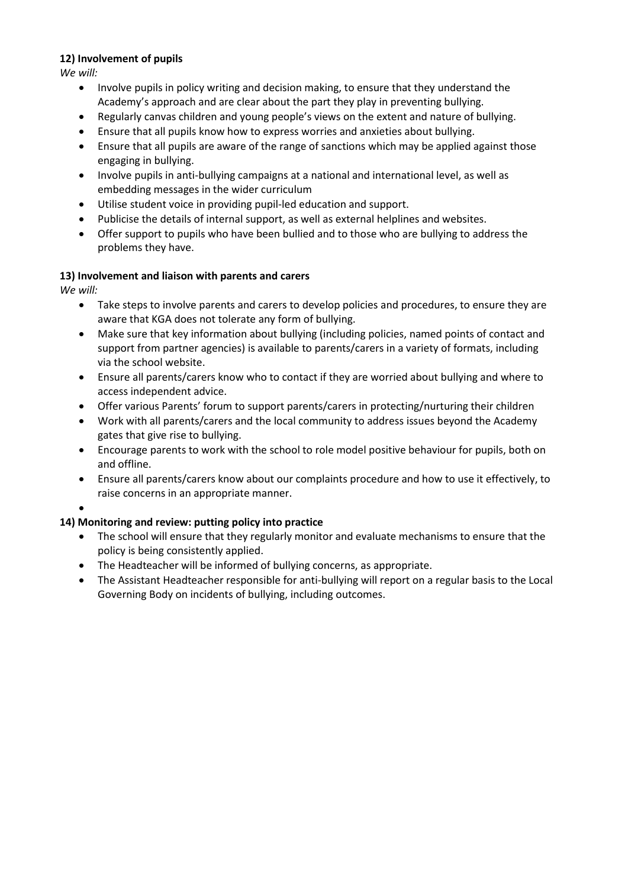#### **12) Involvement of pupils**

*We will:* 

- Involve pupils in policy writing and decision making, to ensure that they understand the Academy's approach and are clear about the part they play in preventing bullying.
- Regularly canvas children and young people's views on the extent and nature of bullying.
- Ensure that all pupils know how to express worries and anxieties about bullying.
- Ensure that all pupils are aware of the range of sanctions which may be applied against those engaging in bullying.
- Involve pupils in anti-bullying campaigns at a national and international level, as well as embedding messages in the wider curriculum
- Utilise student voice in providing pupil-led education and support.
- Publicise the details of internal support, as well as external helplines and websites.
- Offer support to pupils who have been bullied and to those who are bullying to address the problems they have.

#### **13) Involvement and liaison with parents and carers**

*We will:* 

- Take steps to involve parents and carers to develop policies and procedures, to ensure they are aware that KGA does not tolerate any form of bullying.
- Make sure that key information about bullying (including policies, named points of contact and support from partner agencies) is available to parents/carers in a variety of formats, including via the school website.
- Ensure all parents/carers know who to contact if they are worried about bullying and where to access independent advice.
- Offer various Parents' forum to support parents/carers in protecting/nurturing their children
- Work with all parents/carers and the local community to address issues beyond the Academy gates that give rise to bullying.
- Encourage parents to work with the school to role model positive behaviour for pupils, both on and offline.
- Ensure all parents/carers know about our complaints procedure and how to use it effectively, to raise concerns in an appropriate manner.

•

### **14) Monitoring and review: putting policy into practice**

- The school will ensure that they regularly monitor and evaluate mechanisms to ensure that the policy is being consistently applied.
- The Headteacher will be informed of bullying concerns, as appropriate.
- The Assistant Headteacher responsible for anti-bullying will report on a regular basis to the Local Governing Body on incidents of bullying, including outcomes.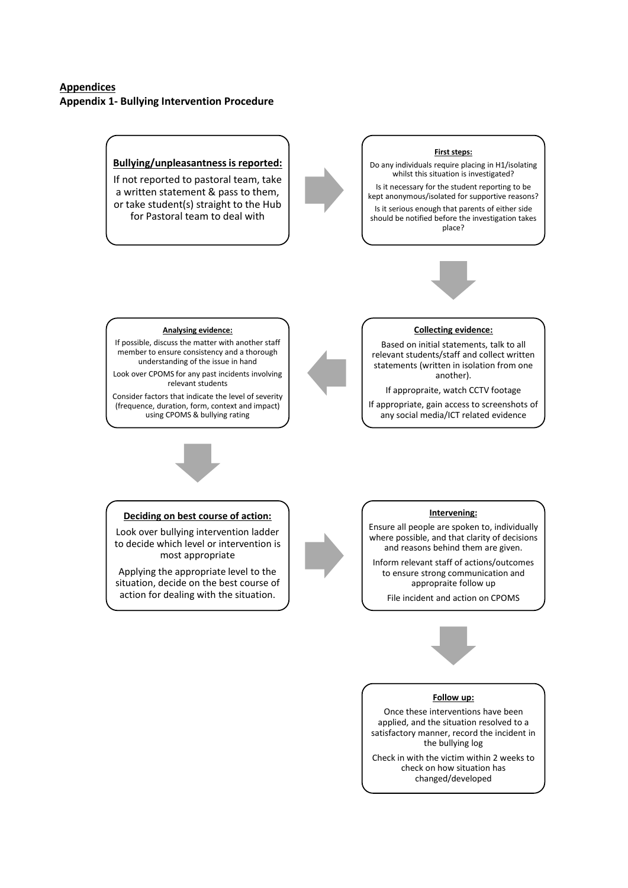#### **Appendices Appendix 1- Bullying Intervention Procedure**



#### **Deciding on best course of action:**

Look over bullying intervention ladder to decide which level or intervention is most appropriate

Applying the appropriate level to the situation, decide on the best course of action for dealing with the situation.

#### **Intervening:**

Ensure all people are spoken to, individually where possible, and that clarity of decisions and reasons behind them are given.

Inform relevant staff of actions/outcomes to ensure strong communication and appropraite follow up

File incident and action on CPOMS



Once these interventions have been applied, and the situation resolved to a satisfactory manner, record the incident in the bullying log

Check in with the victim within 2 weeks to check on how situation has changed/developed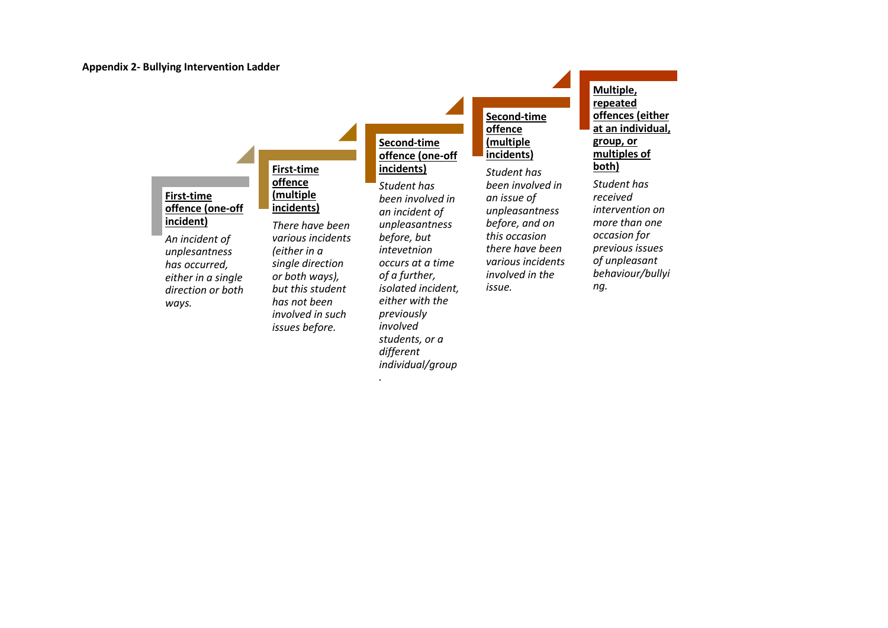**incident)**

*ways.*

#### **First-time offence (one-off First-time offence (multiple incidents)**

*An incident of unplesantness has occurred, either in a single direction or both There have been various incidents (either in a single direction or both ways), but this student has not been involved in such issues before.*

**Second-time offence (one-off incidents)**

*Student has been involved in an incident of unpleasantness before, but intevetnion occurs at a time of a further, isolated incident, either with the previously involved students, or a different individual/group*

*.*

**Second-time offence (multiple incidents)** *Student has been involved in an issue of unpleasantness before, and on this occasion there have been* 

*various incidents involved in the* 

*issue.*

**Multiple, repeated offences (either at an individual, group, or multiples of both)** *Student has received intervention on more than one occasion for previous issues* 

*of unpleasant behaviour/bullyi*

*ng.*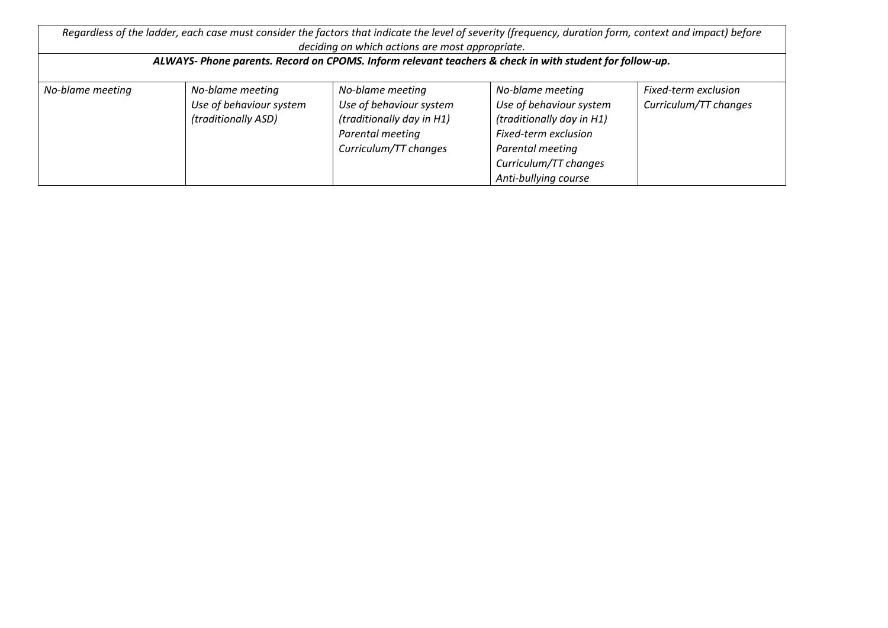| Regardless of the ladder, each case must consider the factors that indicate the level of severity (frequency, duration form, context and impact) before<br>deciding on which actions are most appropriate. |                                                                    |                                                                                                                       |                                                                                                                                                                       |                                               |  |  |  |  |
|------------------------------------------------------------------------------------------------------------------------------------------------------------------------------------------------------------|--------------------------------------------------------------------|-----------------------------------------------------------------------------------------------------------------------|-----------------------------------------------------------------------------------------------------------------------------------------------------------------------|-----------------------------------------------|--|--|--|--|
| ALWAYS- Phone parents. Record on CPOMS. Inform relevant teachers & check in with student for follow-up.                                                                                                    |                                                                    |                                                                                                                       |                                                                                                                                                                       |                                               |  |  |  |  |
| No-blame meeting                                                                                                                                                                                           | No-blame meeting<br>Use of behaviour system<br>(traditionally ASD) | No-blame meeting<br>Use of behaviour system<br>(traditionally day in H1)<br>Parental meeting<br>Curriculum/TT changes | No-blame meeting<br>Use of behaviour system<br>(traditionally day in H1)<br>Fixed-term exclusion<br>Parental meeting<br>Curriculum/TT changes<br>Anti-bullying course | Fixed-term exclusion<br>Curriculum/TT changes |  |  |  |  |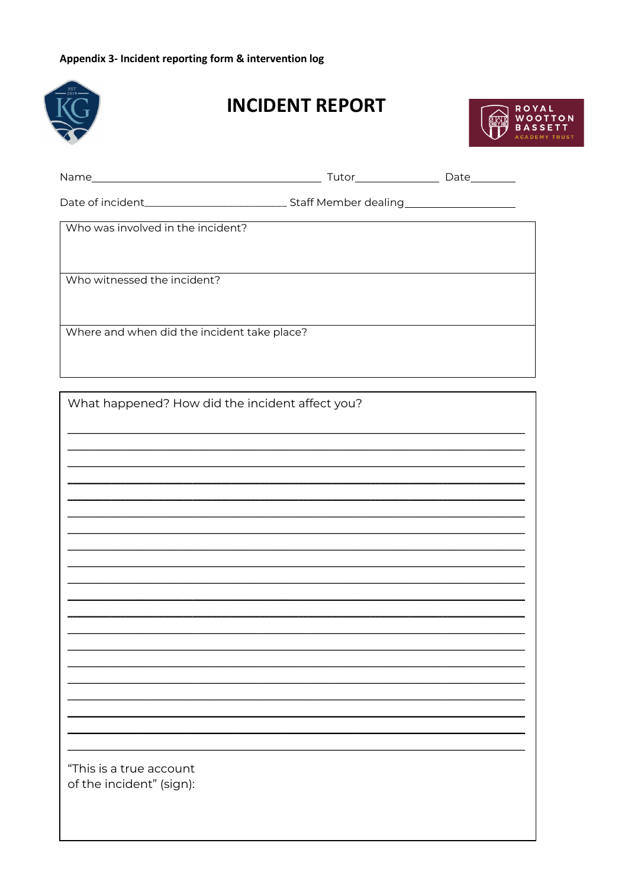## Appendix 3- Incident reporting form & intervention log



# **INCIDENT REPORT**



| Who was involved in the incident?                                                |                                                                                                                      |  |  |  |  |  |  |
|----------------------------------------------------------------------------------|----------------------------------------------------------------------------------------------------------------------|--|--|--|--|--|--|
|                                                                                  |                                                                                                                      |  |  |  |  |  |  |
| Who witnessed the incident?                                                      |                                                                                                                      |  |  |  |  |  |  |
|                                                                                  |                                                                                                                      |  |  |  |  |  |  |
| Where and when did the incident take place?                                      |                                                                                                                      |  |  |  |  |  |  |
|                                                                                  |                                                                                                                      |  |  |  |  |  |  |
|                                                                                  |                                                                                                                      |  |  |  |  |  |  |
| What happened? How did the incident affect you?                                  |                                                                                                                      |  |  |  |  |  |  |
| ,我们也不会有什么。""我们的人,我们也不会有什么?""我们的人,我们也不会有什么?""我们的人,我们也不会有什么?""我们的人,我们也不会有什么?""我们的人 |                                                                                                                      |  |  |  |  |  |  |
|                                                                                  | ,我们也不会有什么。""我们的人,我们也不会有什么?""我们的人,我们也不会有什么?""我们的人,我们也不会有什么?""我们的人,我们也不会有什么?""我们的人                                     |  |  |  |  |  |  |
|                                                                                  |                                                                                                                      |  |  |  |  |  |  |
|                                                                                  | <u> 1989 - Johann Stoff, amerikansk politiker (d. 1989)</u>                                                          |  |  |  |  |  |  |
|                                                                                  | <u> 1999 - Johann John Stone, mars and de la provincia de la provincia de la provincia de la provincia de la pro</u> |  |  |  |  |  |  |
|                                                                                  |                                                                                                                      |  |  |  |  |  |  |
|                                                                                  |                                                                                                                      |  |  |  |  |  |  |
|                                                                                  |                                                                                                                      |  |  |  |  |  |  |
|                                                                                  |                                                                                                                      |  |  |  |  |  |  |
|                                                                                  |                                                                                                                      |  |  |  |  |  |  |
|                                                                                  |                                                                                                                      |  |  |  |  |  |  |
|                                                                                  |                                                                                                                      |  |  |  |  |  |  |
|                                                                                  |                                                                                                                      |  |  |  |  |  |  |
| "This is a true account<br>of the incident" (sign):                              |                                                                                                                      |  |  |  |  |  |  |
|                                                                                  |                                                                                                                      |  |  |  |  |  |  |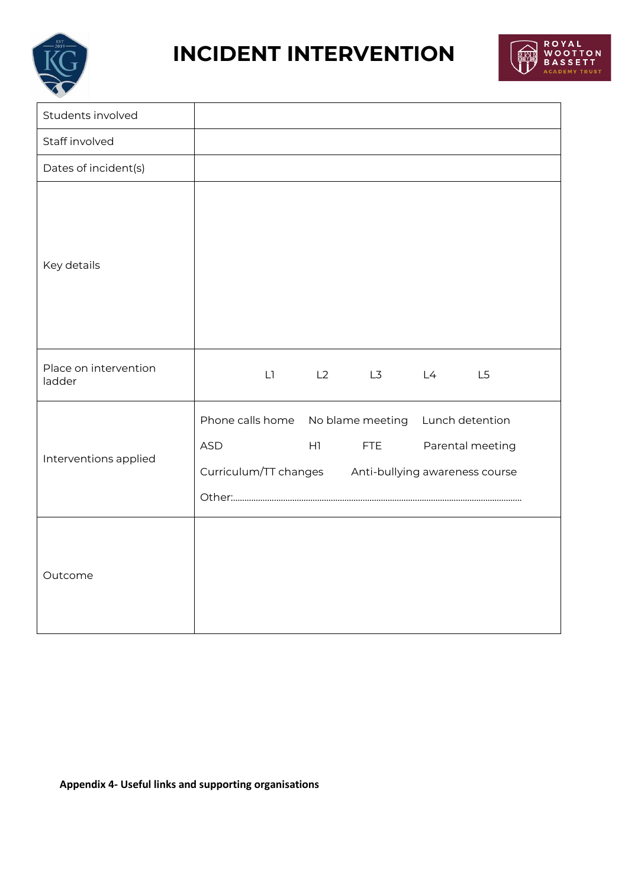

# **INCIDENT INTERVENTION**



| Students involved               |                                                                                                                                          |        |                                     |    |    |    |
|---------------------------------|------------------------------------------------------------------------------------------------------------------------------------------|--------|-------------------------------------|----|----|----|
| Staff involved                  |                                                                                                                                          |        |                                     |    |    |    |
| Dates of incident(s)            |                                                                                                                                          |        |                                     |    |    |    |
| Key details                     |                                                                                                                                          |        |                                     |    |    |    |
| Place on intervention<br>ladder |                                                                                                                                          | $\Box$ | L2                                  | L3 | L4 | L5 |
| Interventions applied           | Phone calls home<br>No blame meeting<br><b>ASD</b><br>H1<br><b>FTE</b><br>Curriculum/TT changes Anti-bullying awareness course<br>Other: |        | Lunch detention<br>Parental meeting |    |    |    |
| Outcome                         |                                                                                                                                          |        |                                     |    |    |    |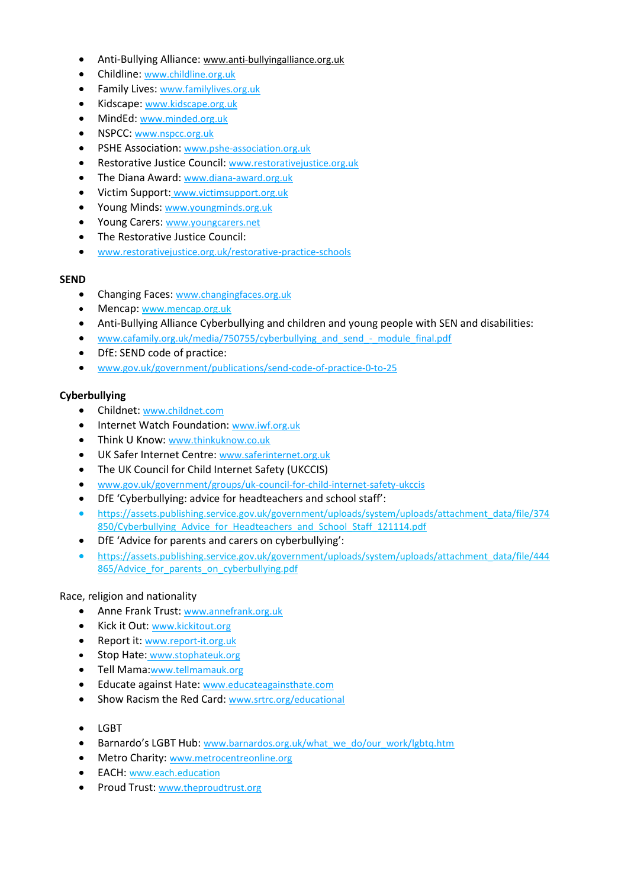- Anti-Bullying Alliance: [www.anti-bullyingalliance.org.uk](http://www.anti-bullyingalliance.org.uk/)
- Childline: [www.childline.org.uk](http://www.childline.org.uk/)
- Family Lives: [www.familylives.org.uk](http://www.familylives.org.uk/)
- Kidscape: [www.kidscape.org.uk](http://www.kidscape.org.uk/)
- MindEd: [www.minded.org.uk](http://www.minded.org.uk/)
- NSPCC: [www.nspcc.org.uk](http://www.nspcc.org.uk/)
- PSHE Association: [www.pshe-association.org.uk](http://www.pshe-association.org.uk/)
- Restorative Justice Council: [www.restorativejustice.org.uk](http://www.restorativejustice.org.uk/)
- The Diana Award: [www.diana-award.org.uk](http://www.diana-award.org.uk/)
- Victim Support: [www.victimsupport.org.uk](http://www.victimsupport.org.uk/)
- Young Minds: [www.youngminds.org.uk](http://www.youngminds.org.uk/)
- Young Carers: [www.youngcarers.net](http://www.youngcarers.net/)
- The Restorative Justice Council:
- [www.restorativejustice.org.uk/restorative-practice-schools](http://www.restorativejustice.org.uk/restorative-practice-schools)

#### **SEND**

- Changing Faces: [www.changingfaces.org.uk](http://www.changingfaces.org.uk/)
- Mencap: [www.mencap.org.uk](http://www.mencap.org.uk/)
- Anti-Bullying Alliance Cyberbullying and children and young people with SEN and disabilities:
- www.cafamily.org.uk/media/750755/cyberbullying and send module final.pdf
- DfE: SEND code of practice:
- [www.gov.uk/government/publications/send-code-of-practice-0-to-25](https://www.gov.uk/government/publications/send-code-of-practice-0-to-25)

#### **Cyberbullying**

- Childnet: [www.childnet.com](http://www.childnet.com/)
- Internet Watch Foundation: [www.iwf.org.uk](http://www.iwf.org.uk/)
- Think U Know: [www.thinkuknow.co.uk](http://www.thinkuknow.co.uk/)
- UK Safer Internet Centre: [www.saferinternet.org.uk](http://www.saferinternet.org.uk/)
- The UK Council for Child Internet Safety (UKCCIS)
- [www.gov.uk/government/groups/uk-council-for-child-internet-safety-ukccis](http://www.gov.uk/government/groups/uk-council-for-child-internet-safety-ukccis)
- DfE 'Cyberbullying: advice for headteachers and school staff':
- [https://assets.publishing.service.gov.uk/government/uploads/system/uploads/attachment\\_data/file/374](https://assets.publishing.service.gov.uk/government/uploads/system/uploads/attachment_data/file/374850/Cyberbullying_Advice_for_Headteachers_and_School_Staff_121114.pdf) 850/Cyberbullying Advice for Headteachers and School Staff 121114.pdf
- DfE 'Advice for parents and carers on cyberbullying':
- [https://assets.publishing.service.gov.uk/government/uploads/system/uploads/attachment\\_data/file/444](https://assets.publishing.service.gov.uk/government/uploads/system/uploads/attachment_data/file/444865/Advice_for_parents_on_cyberbullying.pdf) 865/Advice for parents on cyberbullying.pdf

#### Race, religion and nationality

- Anne Frank Trust: [www.annefrank.org.uk](http://www.annefrank.org.uk/)
- Kick it Out: [www.kickitout.org](http://www.kickitout.org/)
- Report it: [www.report-it.org.uk](http://www.report-it.org.uk/)
- Stop Hate: [www.stophateuk.org](http://www.stophateuk.org/)
- Tell Mama:[www.tellmamauk.org](http://www.tellmamauk.org/)
- Educate against Hate: [www.educateagainsthate.com](http://www.educateagainsthate.com/)
- Show Racism the Red Card: [www.srtrc.org/educational](http://www.srtrc.org/educational)
- LGBT
- Barnardo's LGBT Hub: [www.barnardos.org.uk/what\\_we\\_do/our\\_work/lgbtq.htm](http://www.barnardos.org.uk/what_we_do/our_work/lgbtq.htm)
- Metro Charity: [www.metrocentreonline.org](http://www.metrocentreonline.org/)
- EACH: [www.each.education](https://www.each.education/)
- Proud Trust: [www.theproudtrust.org](http://www.theproudtrust.org/)